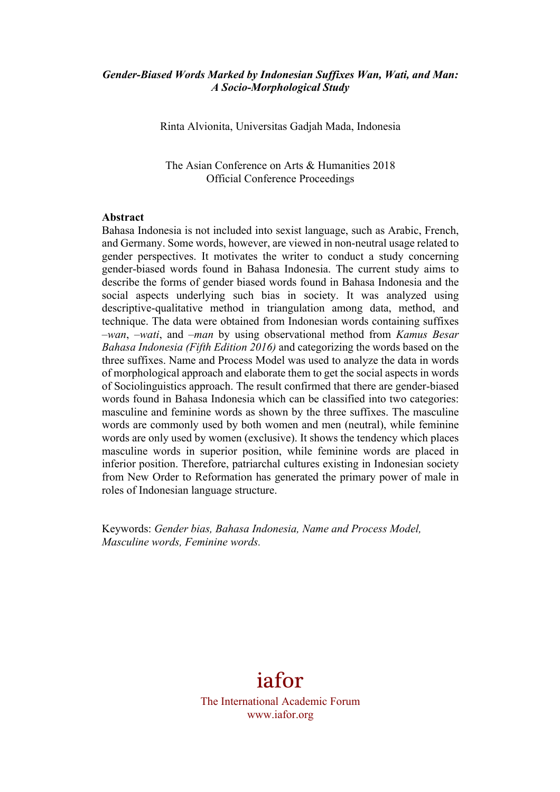## *Gender-Biased Words Marked by Indonesian Suffixes Wan, Wati, and Man: A Socio-Morphological Study*

Rinta Alvionita, Universitas Gadjah Mada, Indonesia

The Asian Conference on Arts & Humanities 2018 Official Conference Proceedings

#### **Abstract**

Bahasa Indonesia is not included into sexist language, such as Arabic, French, and Germany. Some words, however, are viewed in non-neutral usage related to gender perspectives. It motivates the writer to conduct a study concerning gender-biased words found in Bahasa Indonesia. The current study aims to describe the forms of gender biased words found in Bahasa Indonesia and the social aspects underlying such bias in society. It was analyzed using descriptive-qualitative method in triangulation among data, method, and technique. The data were obtained from Indonesian words containing suffixes *–wan*, *–wati*, and *–man* by using observational method from *Kamus Besar Bahasa Indonesia (Fifth Edition 2016)* and categorizing the words based on the three suffixes. Name and Process Model was used to analyze the data in words of morphological approach and elaborate them to get the social aspects in words of Sociolinguistics approach. The result confirmed that there are gender-biased words found in Bahasa Indonesia which can be classified into two categories: masculine and feminine words as shown by the three suffixes. The masculine words are commonly used by both women and men (neutral), while feminine words are only used by women (exclusive). It shows the tendency which places masculine words in superior position, while feminine words are placed in inferior position. Therefore, patriarchal cultures existing in Indonesian society from New Order to Reformation has generated the primary power of male in roles of Indonesian language structure.

Keywords: *Gender bias, Bahasa Indonesia, Name and Process Model, Masculine words, Feminine words.* 

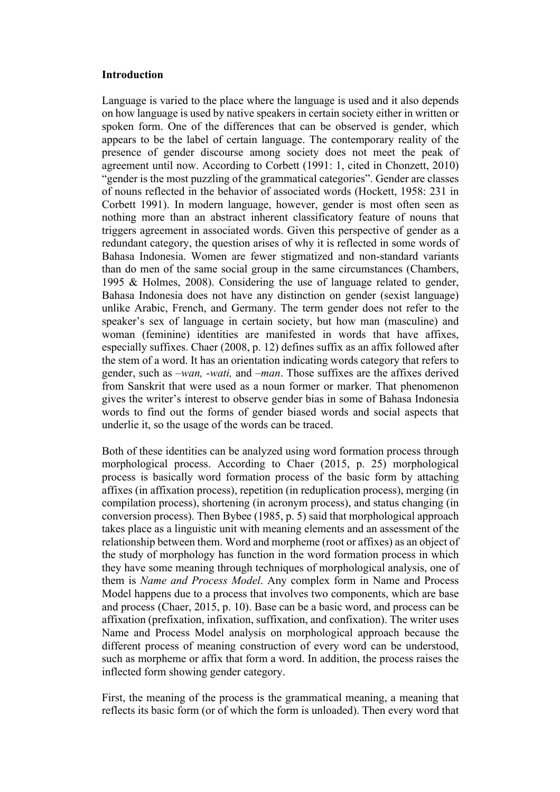### **Introduction**

Language is varied to the place where the language is used and it also depends on how language is used by native speakers in certain society either in written or spoken form. One of the differences that can be observed is gender, which appears to be the label of certain language. The contemporary reality of the presence of gender discourse among society does not meet the peak of agreement until now. According to Corbett (1991: 1, cited in Chonzett, 2010) "gender is the most puzzling of the grammatical categories". Gender are classes of nouns reflected in the behavior of associated words (Hockett, 1958: 231 in Corbett 1991). In modern language, however, gender is most often seen as nothing more than an abstract inherent classificatory feature of nouns that triggers agreement in associated words. Given this perspective of gender as a redundant category, the question arises of why it is reflected in some words of Bahasa Indonesia. Women are fewer stigmatized and non-standard variants than do men of the same social group in the same circumstances (Chambers, 1995 & Holmes, 2008). Considering the use of language related to gender, Bahasa Indonesia does not have any distinction on gender (sexist language) unlike Arabic, French, and Germany. The term gender does not refer to the speaker's sex of language in certain society, but how man (masculine) and woman (feminine) identities are manifested in words that have affixes, especially suffixes. Chaer (2008, p. 12) defines suffix as an affix followed after the stem of a word. It has an orientation indicating words category that refers to gender, such as *–wan, -wati,* and *–man*. Those suffixes are the affixes derived from Sanskrit that were used as a noun former or marker. That phenomenon gives the writer's interest to observe gender bias in some of Bahasa Indonesia words to find out the forms of gender biased words and social aspects that underlie it, so the usage of the words can be traced.

Both of these identities can be analyzed using word formation process through morphological process. According to Chaer (2015, p. 25) morphological process is basically word formation process of the basic form by attaching affixes (in affixation process), repetition (in reduplication process), merging (in compilation process), shortening (in acronym process), and status changing (in conversion process). Then Bybee (1985, p. 5) said that morphological approach takes place as a linguistic unit with meaning elements and an assessment of the relationship between them. Word and morpheme (root or affixes) as an object of the study of morphology has function in the word formation process in which they have some meaning through techniques of morphological analysis, one of them is *Name and Process Model*. Any complex form in Name and Process Model happens due to a process that involves two components, which are base and process (Chaer, 2015, p. 10). Base can be a basic word, and process can be affixation (prefixation, infixation, suffixation, and confixation). The writer uses Name and Process Model analysis on morphological approach because the different process of meaning construction of every word can be understood, such as morpheme or affix that form a word. In addition, the process raises the inflected form showing gender category.

First, the meaning of the process is the grammatical meaning, a meaning that reflects its basic form (or of which the form is unloaded). Then every word that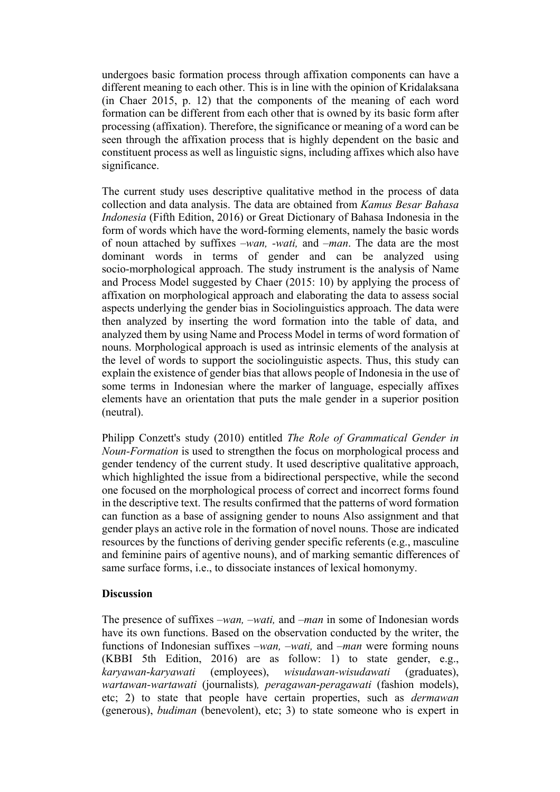undergoes basic formation process through affixation components can have a different meaning to each other. This is in line with the opinion of Kridalaksana (in Chaer 2015, p. 12) that the components of the meaning of each word formation can be different from each other that is owned by its basic form after processing (affixation). Therefore, the significance or meaning of a word can be seen through the affixation process that is highly dependent on the basic and constituent process as well as linguistic signs, including affixes which also have significance.

The current study uses descriptive qualitative method in the process of data collection and data analysis. The data are obtained from *Kamus Besar Bahasa Indonesia* (Fifth Edition, 2016) or Great Dictionary of Bahasa Indonesia in the form of words which have the word-forming elements, namely the basic words of noun attached by suffixes *–wan, -wati,* and *–man*. The data are the most dominant words in terms of gender and can be analyzed using socio-morphological approach. The study instrument is the analysis of Name and Process Model suggested by Chaer (2015: 10) by applying the process of affixation on morphological approach and elaborating the data to assess social aspects underlying the gender bias in Sociolinguistics approach. The data were then analyzed by inserting the word formation into the table of data, and analyzed them by using Name and Process Model in terms of word formation of nouns. Morphological approach is used as intrinsic elements of the analysis at the level of words to support the sociolinguistic aspects. Thus, this study can explain the existence of gender bias that allows people of Indonesia in the use of some terms in Indonesian where the marker of language, especially affixes elements have an orientation that puts the male gender in a superior position (neutral).

Philipp Conzett's study (2010) entitled *The Role of Grammatical Gender in Noun-Formation* is used to strengthen the focus on morphological process and gender tendency of the current study. It used descriptive qualitative approach, which highlighted the issue from a bidirectional perspective, while the second one focused on the morphological process of correct and incorrect forms found in the descriptive text. The results confirmed that the patterns of word formation can function as a base of assigning gender to nouns Also assignment and that gender plays an active role in the formation of novel nouns. Those are indicated resources by the functions of deriving gender specific referents (e.g., masculine and feminine pairs of agentive nouns), and of marking semantic differences of same surface forms, i.e., to dissociate instances of lexical homonymy.

## **Discussion**

The presence of suffixes *–wan, –wati,* and *–man* in some of Indonesian words have its own functions. Based on the observation conducted by the writer, the functions of Indonesian suffixes *–wan, –wati,* and *–man* were forming nouns (KBBI 5th Edition, 2016) are as follow: 1) to state gender, e.g., *karyawan*-*karyawati* (employees), *wisudawan-wisudawati* (graduates), *wartawan-wartawati* (journalists)*, peragawan*-*peragawati* (fashion models), etc; 2) to state that people have certain properties, such as *dermawan*  (generous), *budiman* (benevolent), etc; 3) to state someone who is expert in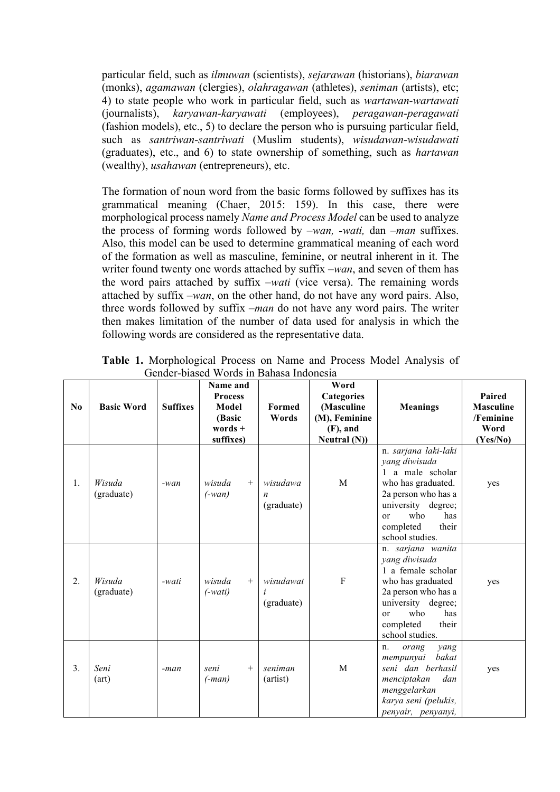particular field, such as *ilmuwan* (scientists), *sejarawan* (historians), *biarawan*  (monks), *agamawan* (clergies), *olahragawan* (athletes), *seniman* (artists), etc; 4) to state people who work in particular field, such as *wartawan-wartawati*  (journalists), *karyawan-karyawati* (employees), *peragawan-peragawati*  (fashion models), etc., 5) to declare the person who is pursuing particular field, such as *santriwan-santriwati* (Muslim students), *wisudawan-wisudawati*  (graduates), etc., and 6) to state ownership of something, such as *hartawan* (wealthy), *usahawan* (entrepreneurs), etc.

The formation of noun word from the basic forms followed by suffixes has its grammatical meaning (Chaer, 2015: 159). In this case, there were morphological process namely *Name and Process Model* can be used to analyze the process of forming words followed by *–wan, -wati,* dan *–man* suffixes. Also, this model can be used to determine grammatical meaning of each word of the formation as well as masculine, feminine, or neutral inherent in it. The writer found twenty one words attached by suffix *–wan*, and seven of them has the word pairs attached by suffix *–wati* (vice versa). The remaining words attached by suffix *–wan*, on the other hand, do not have any word pairs. Also, three words followed by suffix *–man* do not have any word pairs. The writer then makes limitation of the number of data used for analysis in which the following words are considered as the representative data.

| N <sub>0</sub> | <b>Basic Word</b>    | <b>Suffixes</b> | Name and<br><b>Process</b><br><b>Model</b><br>(Basic<br>words $+$<br>suffixes) | <b>Formed</b><br>Words                     | Word<br><b>Categories</b><br>(Masculine<br>(M), Feminine<br>$(F)$ , and<br>Neutral (N)) | <b>Meanings</b>                                                                                                                                                                                      | Paired<br><b>Masculine</b><br>/Feminine<br>Word<br>(Yes/No) |
|----------------|----------------------|-----------------|--------------------------------------------------------------------------------|--------------------------------------------|-----------------------------------------------------------------------------------------|------------------------------------------------------------------------------------------------------------------------------------------------------------------------------------------------------|-------------------------------------------------------------|
| 1.             | Wisuda<br>(graduate) | $-wan$          | wisuda<br>$^{+}$<br>$(-wan)$                                                   | wisudawa<br>$\boldsymbol{n}$<br>(graduate) | M                                                                                       | n. sarjana laki-laki<br>yang diwisuda<br>1 a male scholar<br>who has graduated.<br>2a person who has a<br>university degree;<br>who<br>has<br><sub>or</sub><br>completed<br>their<br>school studies. | yes                                                         |
| 2.             | Wisuda<br>(graduate) | -wati           | wisuda<br>$^{+}$<br>$(-wait)$                                                  | wisudawat<br>(graduate)                    | ${\bf F}$                                                                               | n. sarjana wanita<br>yang diwisuda<br>1 a female scholar<br>who has graduated<br>2a person who has a<br>university degree;<br>who<br>has<br><sub>or</sub><br>completed<br>their<br>school studies.   | yes                                                         |
| 3.             | Seni<br>(art)        | -man            | seni<br>$^{+}$<br>$(-man)$                                                     | seniman<br>(artist)                        | M                                                                                       | orang<br>yang<br>n.<br>bakat<br>mempunyai<br>seni dan berhasil<br>menciptakan<br>dan<br>menggelarkan<br>karya seni (pelukis,<br>penyair, penyanyi,                                                   | yes                                                         |

**Table 1.** Morphological Process on Name and Process Model Analysis of Gender-biased Words in Bahasa Indonesia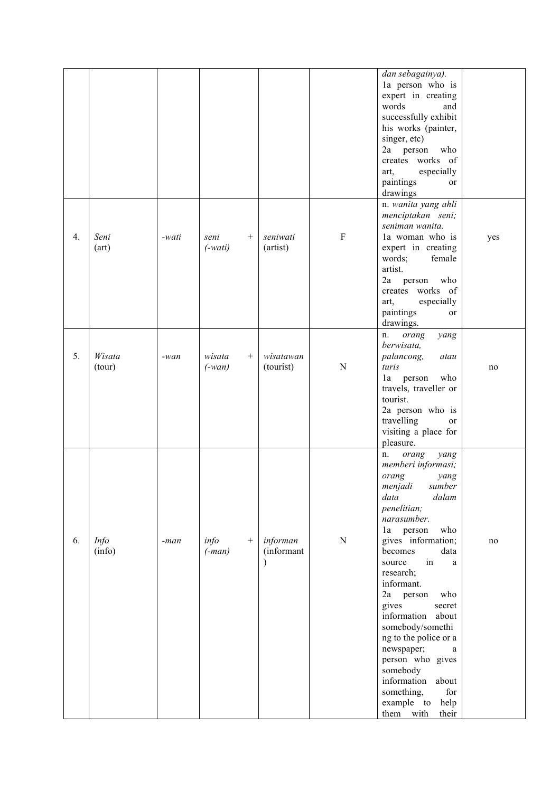|    |             |       |           |                 |            |                | dan sebagainya).             |     |
|----|-------------|-------|-----------|-----------------|------------|----------------|------------------------------|-----|
|    |             |       |           |                 |            |                | la person who is             |     |
|    |             |       |           |                 |            |                | expert in creating           |     |
|    |             |       |           |                 |            |                | words<br>and                 |     |
|    |             |       |           |                 |            |                | successfully exhibit         |     |
|    |             |       |           |                 |            |                | his works (painter,          |     |
|    |             |       |           |                 |            |                | singer, etc)                 |     |
|    |             |       |           |                 |            |                | 2a person<br>who             |     |
|    |             |       |           |                 |            |                | creates works of             |     |
|    |             |       |           |                 |            |                | especially<br>art,           |     |
|    |             |       |           |                 |            |                | paintings<br>or              |     |
|    |             |       |           |                 |            |                | drawings                     |     |
|    |             |       |           |                 |            |                | n. wanita yang ahli          |     |
|    |             |       |           |                 |            |                | menciptakan seni;            |     |
|    |             |       |           |                 |            |                | seniman wanita.              |     |
| 4. | Seni        | -wati | seni      | $^{+}$          | seniwati   | $\rm F$        | la woman who is              | yes |
|    | (art)       |       | $(-wait)$ |                 | (artist)   |                | expert in creating           |     |
|    |             |       |           |                 |            |                | words;<br>female             |     |
|    |             |       |           |                 |            |                | artist.                      |     |
|    |             |       |           |                 |            |                | 2a<br>person<br>who          |     |
|    |             |       |           |                 |            |                | creates works of             |     |
|    |             |       |           |                 |            |                | especially<br>art,           |     |
|    |             |       |           |                 |            |                | paintings<br>or              |     |
|    |             |       |           |                 |            |                | drawings.                    |     |
|    |             |       |           |                 |            |                | orang<br>yang<br>n.          |     |
|    |             |       |           |                 |            |                | berwisata,                   |     |
| 5. | Wisata      | -wan  | wisata    | $^{+}$          | wisatawan  |                | palancong,<br>atau           |     |
|    | (tour)      |       | $(-wan)$  |                 | (tourist)  | $\mathbf N$    | turis                        | no  |
|    |             |       |           |                 |            |                | who<br>person<br>1a          |     |
|    |             |       |           |                 |            |                | travels, traveller or        |     |
|    |             |       |           |                 |            |                | tourist.                     |     |
|    |             |       |           |                 |            |                | 2a person who is             |     |
|    |             |       |           |                 |            |                | travelling<br>or             |     |
|    |             |       |           |                 |            |                | visiting a place for         |     |
|    |             |       |           |                 |            |                |                              |     |
|    |             |       |           |                 |            |                | pleasure.                    |     |
|    |             |       |           |                 |            |                | orang<br>yang<br>n.          |     |
|    |             |       |           |                 |            |                | memberi informasi;           |     |
|    |             |       |           |                 |            |                | orang<br>yang                |     |
|    |             |       |           |                 |            |                | menjadi<br>sumber            |     |
|    |             |       |           |                 |            |                | dalam<br>data                |     |
|    |             |       |           |                 |            |                | penelitian;                  |     |
|    |             |       |           |                 |            |                | narasumber.                  |     |
|    |             |       |           |                 |            |                | who<br>la person             |     |
| 6. | <b>Info</b> | -man  | info      | $\! + \!\!\!\!$ | informan   | $\overline{N}$ | gives information;           | no  |
|    | (info)      |       | $(-man)$  |                 | (informant |                | becomes<br>data              |     |
|    |             |       |           |                 |            |                | in<br>source<br>$\mathbf{a}$ |     |
|    |             |       |           |                 |            |                | research;                    |     |
|    |             |       |           |                 |            |                | informant.                   |     |
|    |             |       |           |                 |            |                | 2a<br>who<br>person          |     |
|    |             |       |           |                 |            |                | gives<br>secret              |     |
|    |             |       |           |                 |            |                | information<br>about         |     |
|    |             |       |           |                 |            |                | somebody/somethi             |     |
|    |             |       |           |                 |            |                | ng to the police or a        |     |
|    |             |       |           |                 |            |                | newspaper;<br>a              |     |
|    |             |       |           |                 |            |                | person who gives             |     |
|    |             |       |           |                 |            |                | somebody                     |     |
|    |             |       |           |                 |            |                | information<br>about         |     |
|    |             |       |           |                 |            |                | for<br>something,            |     |
|    |             |       |           |                 |            |                | example to<br>help           |     |
|    |             |       |           |                 |            |                | them with<br>their           |     |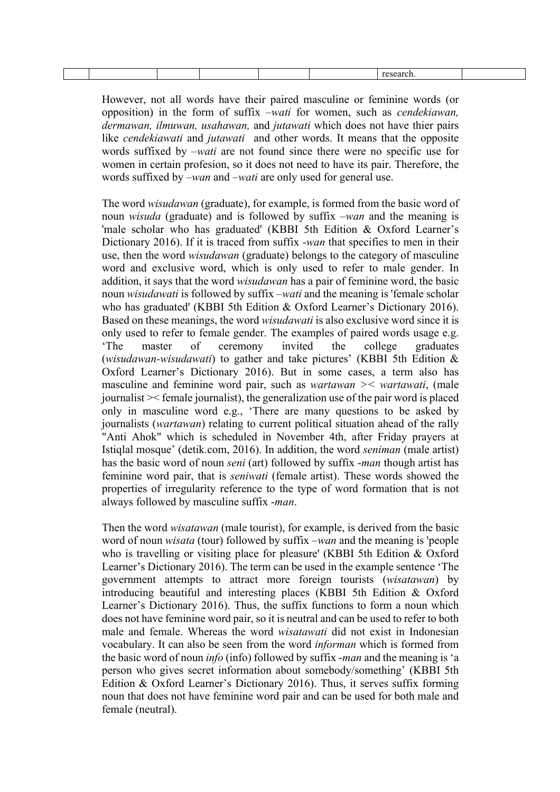However, not all words have their paired masculine or feminine words (or opposition) in the form of suffix *–wati* for women, such as *cendekiawan, dermawan, ilmuwan, usahawan,* and *jutawati* which does not have thier pairs like *cendekiawati* and *jutawati* and other words. It means that the opposite words suffixed by *–wati* are not found since there were no specific use for women in certain profesion, so it does not need to have its pair. Therefore, the words suffixed by *–wan* and *–wati* are only used for general use.

The word *wisudawan* (graduate), for example, is formed from the basic word of noun *wisuda* (graduate) and is followed by suffix *–wan* and the meaning is 'male scholar who has graduated' (KBBI 5th Edition & Oxford Learner's Dictionary 2016). If it is traced from suffix *-wan* that specifies to men in their use, then the word *wisudawan* (graduate) belongs to the category of masculine word and exclusive word, which is only used to refer to male gender. In addition, it says that the word *wisudawan* has a pair of feminine word, the basic noun *wisudawati* is followed by suffix *–wati* and the meaning is 'female scholar who has graduated' (KBBI 5th Edition & Oxford Learner's Dictionary 2016). Based on these meanings, the word *wisudawati* is also exclusive word since it is only used to refer to female gender. The examples of paired words usage e.g. 'The master of ceremony invited the college graduates (*wisudawan-wisudawati*) to gather and take pictures' (KBBI 5th Edition & Oxford Learner's Dictionary 2016). But in some cases, a term also has masculine and feminine word pair, such as *wartawan >< wartawati*, (male journalist >< female journalist), the generalization use of the pair word is placed only in masculine word e.g., 'There are many questions to be asked by journalists (*wartawan*) relating to current political situation ahead of the rally "Anti Ahok" which is scheduled in November 4th, after Friday prayers at Istiqlal mosque' (detik.com, 2016). In addition, the word *seniman* (male artist) has the basic word of noun *seni* (art) followed by suffix -*man* though artist has feminine word pair, that is *seniwati* (female artist). These words showed the properties of irregularity reference to the type of word formation that is not always followed by masculine suffix -*man*.

Then the word *wisatawan* (male tourist), for example, is derived from the basic word of noun *wisata* (tour) followed by suffix *–wan* and the meaning is 'people who is travelling or visiting place for pleasure' (KBBI 5th Edition & Oxford Learner's Dictionary 2016). The term can be used in the example sentence 'The government attempts to attract more foreign tourists (*wisatawan*) by introducing beautiful and interesting places (KBBI 5th Edition & Oxford Learner's Dictionary 2016). Thus, the suffix functions to form a noun which does not have feminine word pair, so it is neutral and can be used to refer to both male and female. Whereas the word *wisatawati* did not exist in Indonesian vocabulary. It can also be seen from the word *informan* which is formed from the basic word of noun *info* (info) followed by suffix -*man* and the meaning is 'a person who gives secret information about somebody/something' (KBBI 5th Edition & Oxford Learner's Dictionary 2016). Thus, it serves suffix forming noun that does not have feminine word pair and can be used for both male and female (neutral).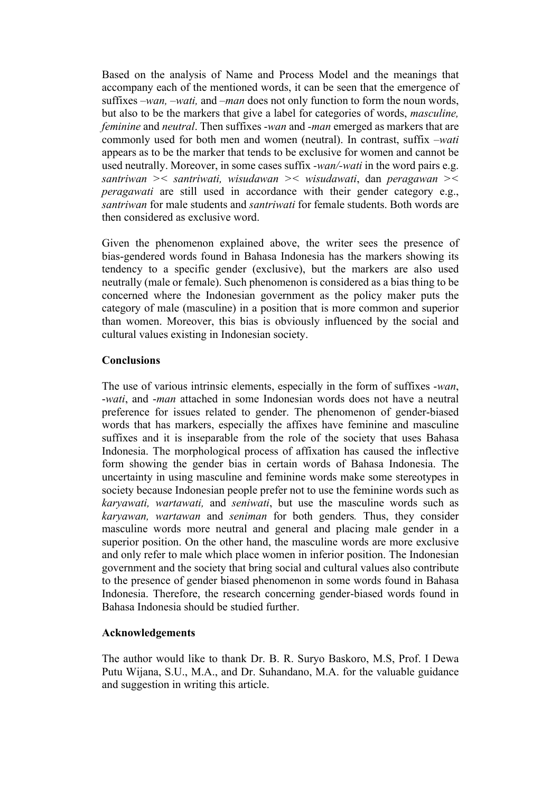Based on the analysis of Name and Process Model and the meanings that accompany each of the mentioned words, it can be seen that the emergence of suffixes *–wan, –wati,* and *–man* does not only function to form the noun words, but also to be the markers that give a label for categories of words, *masculine, feminine* and *neutral*. Then suffixes -*wan* and *-man* emerged as markers that are commonly used for both men and women (neutral). In contrast, suffix *–wati* appears as to be the marker that tends to be exclusive for women and cannot be used neutrally. Moreover, in some cases suffix *-wan/-wati* in the word pairs e.g. *santriwan >< santriwati, wisudawan >< wisudawati*, dan *peragawan >< peragawati* are still used in accordance with their gender category e.g., *santriwan* for male students and *santriwati* for female students. Both words are then considered as exclusive word.

Given the phenomenon explained above, the writer sees the presence of bias-gendered words found in Bahasa Indonesia has the markers showing its tendency to a specific gender (exclusive), but the markers are also used neutrally (male or female). Such phenomenon is considered as a bias thing to be concerned where the Indonesian government as the policy maker puts the category of male (masculine) in a position that is more common and superior than women. Moreover, this bias is obviously influenced by the social and cultural values existing in Indonesian society.

# **Conclusions**

The use of various intrinsic elements, especially in the form of suffixes -*wan*, -*wati*, and -*man* attached in some Indonesian words does not have a neutral preference for issues related to gender. The phenomenon of gender-biased words that has markers, especially the affixes have feminine and masculine suffixes and it is inseparable from the role of the society that uses Bahasa Indonesia. The morphological process of affixation has caused the inflective form showing the gender bias in certain words of Bahasa Indonesia. The uncertainty in using masculine and feminine words make some stereotypes in society because Indonesian people prefer not to use the feminine words such as *karyawati, wartawati,* and *seniwati*, but use the masculine words such as *karyawan, wartawan* and *seniman* for both genders*.* Thus, they consider masculine words more neutral and general and placing male gender in a superior position. On the other hand, the masculine words are more exclusive and only refer to male which place women in inferior position. The Indonesian government and the society that bring social and cultural values also contribute to the presence of gender biased phenomenon in some words found in Bahasa Indonesia. Therefore, the research concerning gender-biased words found in Bahasa Indonesia should be studied further.

## **Acknowledgements**

The author would like to thank Dr. B. R. Suryo Baskoro, M.S, Prof. I Dewa Putu Wijana, S.U., M.A., and Dr. Suhandano, M.A. for the valuable guidance and suggestion in writing this article.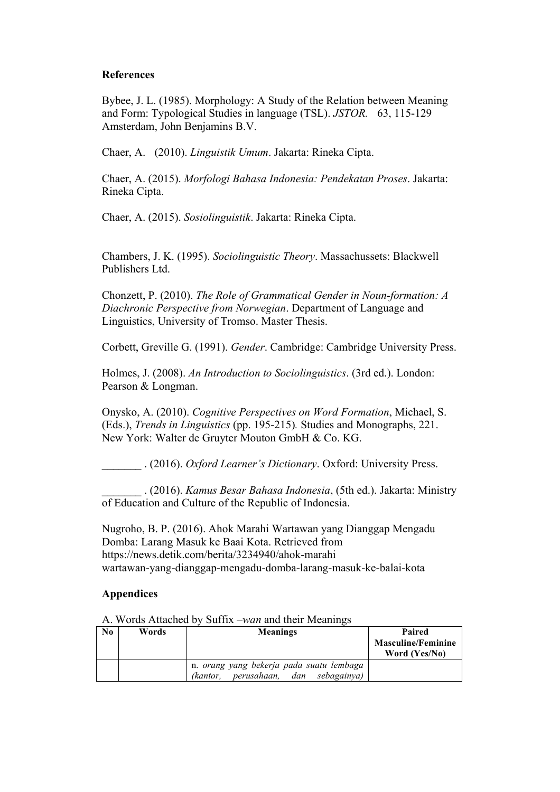## **References**

Bybee, J. L. (1985). Morphology: A Study of the Relation between Meaning and Form: Typological Studies in language (TSL). *JSTOR.* 63, 115-129 Amsterdam, John Benjamins B.V.

Chaer, A. (2010). *Linguistik Umum*. Jakarta: Rineka Cipta.

Chaer, A. (2015). *Morfologi Bahasa Indonesia: Pendekatan Proses*. Jakarta: Rineka Cipta.

Chaer, A. (2015). *Sosiolinguistik*. Jakarta: Rineka Cipta.

Chambers, J. K. (1995). *Sociolinguistic Theory*. Massachussets: Blackwell Publishers Ltd.

Chonzett, P. (2010). *The Role of Grammatical Gender in Noun-formation: A Diachronic Perspective from Norwegian*. Department of Language and Linguistics, University of Tromso. Master Thesis.

Corbett, Greville G. (1991). *Gender*. Cambridge: Cambridge University Press.

Holmes, J. (2008). *An Introduction to Sociolinguistics*. (3rd ed.). London: Pearson & Longman.

Onysko, A. (2010). *Cognitive Perspectives on Word Formation*, Michael, S. (Eds.), *Trends in Linguistics* (pp. 195-215)*.* Studies and Monographs, 221. New York: Walter de Gruyter Mouton GmbH & Co. KG.

\_\_\_\_\_\_\_ . (2016). *Oxford Learner's Dictionary*. Oxford: University Press.

\_\_\_\_\_\_\_ . (2016). *Kamus Besar Bahasa Indonesia*, (5th ed.). Jakarta: Ministry of Education and Culture of the Republic of Indonesia.

Nugroho, B. P. (2016). Ahok Marahi Wartawan yang Dianggap Mengadu Domba: Larang Masuk ke Baai Kota. Retrieved from https://news.detik.com/berita/3234940/ahok-marahi wartawan-yang-dianggap-mengadu-domba-larang-masuk-ke-balai-kota

## **Appendices**

**No Words Meanings Paired Masculine/Feminine Word (Yes/No)** n. *orang yang bekerja pada suatu lembaga (kantor, perusahaan, dan sebagainya)* 

A. Words Attached by Suffix *–wan* and their Meanings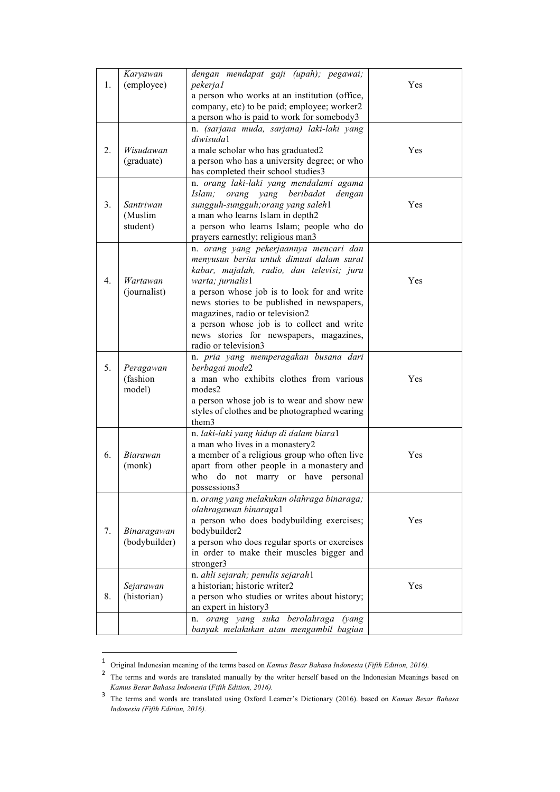|                | Karyawan      | dengan mendapat gaji (upah); pegawai;                                                        |     |
|----------------|---------------|----------------------------------------------------------------------------------------------|-----|
| 1.             | (employee)    | pekerjal                                                                                     | Yes |
|                |               | a person who works at an institution (office,<br>company, etc) to be paid; employee; worker2 |     |
|                |               | a person who is paid to work for somebody3                                                   |     |
|                |               | n. (sarjana muda, sarjana) laki-laki yang                                                    |     |
|                |               | diwisuda1                                                                                    |     |
| 2.             | Wisudawan     | a male scholar who has graduated2                                                            | Yes |
|                | (graduate)    | a person who has a university degree; or who                                                 |     |
|                |               | has completed their school studies3                                                          |     |
|                |               | n. orang laki-laki yang mendalami agama                                                      |     |
|                |               | orang yang beribadat<br>Islam;<br>dengan                                                     |     |
| 3 <sub>1</sub> | Santriwan     | sungguh-sungguh; orang yang saleh1                                                           | Yes |
|                | (Muslim       | a man who learns Islam in depth2                                                             |     |
|                | student)      | a person who learns Islam; people who do                                                     |     |
|                |               | prayers earnestly; religious man3                                                            |     |
|                |               | n. orang yang pekerjaannya mencari dan                                                       |     |
|                |               | menyusun berita untuk dimuat dalam surat                                                     |     |
|                |               | kabar, majalah, radio, dan televisi; juru                                                    |     |
| 4.             | Wartawan      | warta; jurnalis1                                                                             | Yes |
|                | (journalist)  | a person whose job is to look for and write                                                  |     |
|                |               | news stories to be published in newspapers,                                                  |     |
|                |               | magazines, radio or television2                                                              |     |
|                |               | a person whose job is to collect and write                                                   |     |
|                |               | news stories for newspapers, magazines,<br>radio or television3                              |     |
|                |               | n. pria yang memperagakan busana dari                                                        |     |
| 5.             | Peragawan     | berbagai mode2                                                                               |     |
|                | (fashion      | a man who exhibits clothes from various                                                      | Yes |
|                | model)        | modes2                                                                                       |     |
|                |               | a person whose job is to wear and show new                                                   |     |
|                |               | styles of clothes and be photographed wearing                                                |     |
|                |               | them3                                                                                        |     |
|                |               | n. laki-laki yang hidup di dalam biara1                                                      |     |
|                |               | a man who lives in a monastery2                                                              |     |
| 6.             | Biarawan      | a member of a religious group who often live                                                 | Yes |
|                | (monk)        | apart from other people in a monastery and                                                   |     |
|                |               | who do not marry or have personal                                                            |     |
|                |               | oossessions3                                                                                 |     |
|                |               | n. orang yang melakukan olahraga binaraga;                                                   |     |
|                |               | olahragawan binaraga1<br>a person who does bodybuilding exercises;                           | Yes |
| 7.             | Binaragawan   | bodybuilder2                                                                                 |     |
|                | (bodybuilder) | a person who does regular sports or exercises                                                |     |
|                |               | in order to make their muscles bigger and                                                    |     |
|                |               | stronger3                                                                                    |     |
|                |               | n. ahli sejarah; penulis sejarah1                                                            |     |
|                | Sejarawan     | a historian; historic writer2                                                                | Yes |
| 8.             | (historian)   | a person who studies or writes about history;                                                |     |
|                |               | an expert in history3                                                                        |     |
|                |               | n. orang yang suka berolahraga<br>(yang                                                      |     |
|                |               | banyak melakukan atau mengambil bagian                                                       |     |

<sup>1</sup> Original Indonesian meaning of the terms based on *Kamus Besar Bahasa Indonesia* (*Fifth Edition, 2016).*

 

<sup>&</sup>lt;sup>2</sup> The terms and words are translated manually by the writer herself based on the Indonesian Meanings based on *Kamus Besar Bahasa Indonesia* (*Fifth Edition, 2016).*

<sup>3</sup> The terms and words are translated using Oxford Learner's Dictionary (2016). based on *Kamus Besar Bahasa Indonesia (Fifth Edition, 2016).*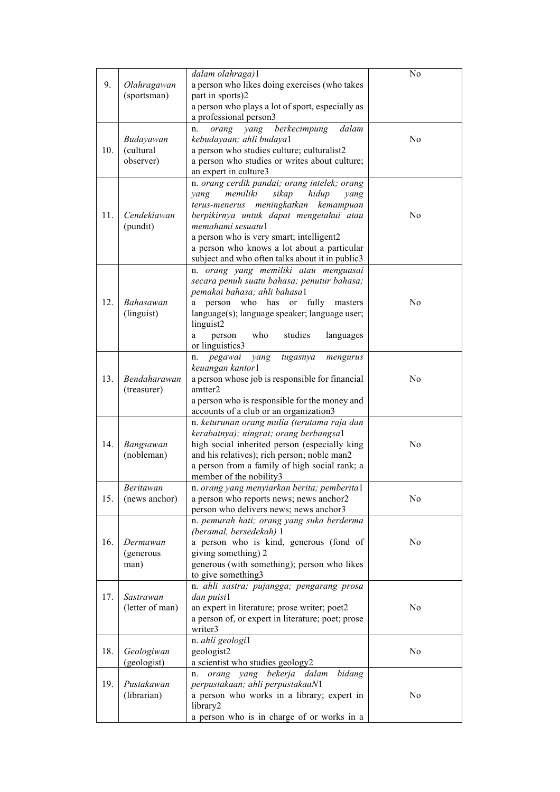| 9.  | Olahragawan                  | dalam olahraga)1<br>a person who likes doing exercises (who takes                       | No             |
|-----|------------------------------|-----------------------------------------------------------------------------------------|----------------|
|     | (sportsman)                  | part in sports)2                                                                        |                |
|     |                              | a person who plays a lot of sport, especially as                                        |                |
|     |                              | a professional person3<br>dalam                                                         |                |
|     | Budayawan                    | berkecimpung<br>orang<br>yang<br>n.<br>kebudayaan; ahli budaya1                         | No             |
| 10. | (cultural                    | a person who studies culture; culturalist2                                              |                |
|     | observer)                    | a person who studies or writes about culture;                                           |                |
|     |                              | an expert in culture3                                                                   |                |
|     |                              | n. orang cerdik pandai; orang intelek; orang                                            |                |
|     |                              | memiliki<br>sikap<br>hidup<br>yang<br>yang<br>terus-menerus meningkatkan kemampuan      |                |
| 11. | Cendekiawan                  | berpikirnya untuk dapat mengetahui atau                                                 | No             |
|     | (pundit)                     | memahami sesuatul                                                                       |                |
|     |                              | a person who is very smart; intelligent2                                                |                |
|     |                              | a person who knows a lot about a particular                                             |                |
|     |                              | subject and who often talks about it in public3                                         |                |
|     |                              | n. orang yang memiliki atau menguasai                                                   |                |
|     |                              | secara penuh suatu bahasa; penutur bahasa;<br>pemakai bahasa; ahli bahasa1              |                |
| 12. | Bahasawan                    | person who<br>has or fully<br>masters<br>a                                              | N <sub>0</sub> |
|     | (linguist)                   | language(s); language speaker; language user;                                           |                |
|     |                              | linguist2                                                                               |                |
|     |                              | who<br>studies<br>languages<br>person<br>a                                              |                |
|     |                              | or linguistics3                                                                         |                |
|     |                              | pegawai<br>n.<br>yang<br>tugasnya<br>mengurus<br>keuangan kantor1                       |                |
| 13. | Bendaharawan                 | a person whose job is responsible for financial                                         | N <sub>0</sub> |
|     | (treasurer)                  | amtter <sub>2</sub>                                                                     |                |
|     |                              | a person who is responsible for the money and                                           |                |
|     |                              | accounts of a club or an organization3                                                  |                |
|     |                              | n. keturunan orang mulia (terutama raja dan                                             |                |
| 14. |                              | kerabatnya); ningrat; orang berbangsa1<br>high social inherited person (especially king | No             |
|     | Bangsawan<br>(nobleman)      | and his relatives); rich person; noble man2                                             |                |
|     |                              | a person from a family of high social rank; a                                           |                |
|     |                              | member of the nobility3                                                                 |                |
|     | Beritawan                    | n. orang yang menyiarkan berita; pemberital                                             |                |
| 15. | (news anchor)                | a person who reports news; news anchor2                                                 | N <sub>0</sub> |
|     |                              | person who delivers news; news anchor3                                                  |                |
|     |                              | n. pemurah hati; orang yang suka berderma<br>(beramal, bersedekah) 1                    |                |
| 16. | Dermawan                     | a person who is kind, generous (fond of                                                 | N <sub>0</sub> |
|     | (generous                    | giving something) 2                                                                     |                |
|     | man)                         | generous (with something); person who likes                                             |                |
|     |                              | to give something3                                                                      |                |
|     |                              | n. ahli sastra; pujangga; pengarang prosa<br>dan puisi1                                 |                |
| 17. | Sastrawan<br>(letter of man) | an expert in literature; prose writer; poet2                                            | N <sub>0</sub> |
|     |                              | a person of, or expert in literature; poet; prose                                       |                |
|     |                              | writer3                                                                                 |                |
|     |                              | n. ahli geologi1                                                                        |                |
| 18. | Geologiwan                   | geologist2                                                                              | N <sub>0</sub> |
|     | (geologist)                  | a scientist who studies geology2                                                        |                |
| 19. | Pustakawan                   | orang yang bekerja dalam<br>bidang<br>n.                                                |                |
|     | (librarian)                  | perpustakaan; ahli perpustakaaN1<br>a person who works in a library; expert in          | No             |
|     |                              | library2                                                                                |                |
|     |                              | a person who is in charge of or works in a                                              |                |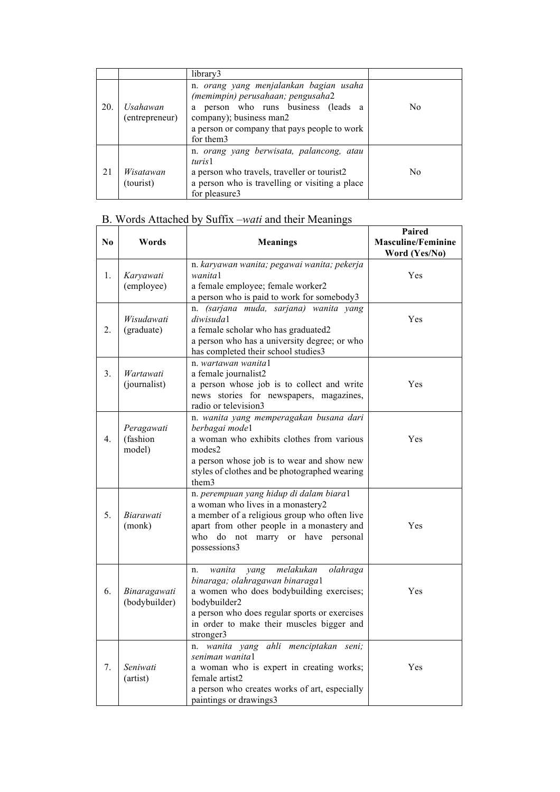|     |                            | library3                                                                                                                                                                                                         |                |
|-----|----------------------------|------------------------------------------------------------------------------------------------------------------------------------------------------------------------------------------------------------------|----------------|
| 20. | Usahawan<br>(entrepreneur) | n. orang yang menjalankan bagian usaha<br>(memimpin) perusahaan; pengusaha2<br>person who runs business<br>(leads a<br>a<br>company); business man2<br>a person or company that pays people to work<br>for them3 | N <sub>0</sub> |
| 21  | Wisatawan<br>(tourist)     | n. orang yang berwisata, palancong, atau<br>turis1<br>a person who travels, traveller or tourist2<br>a person who is travelling or visiting a place<br>for pleasure3                                             | N <sub>0</sub> |

# B. Words Attached by Suffix *–wati* and their Meanings

| No.              | Words                            | <b>Meanings</b>                                                                                                                                                                                                                                         | Paired<br><b>Masculine/Feminine</b><br>Word (Yes/No) |
|------------------|----------------------------------|---------------------------------------------------------------------------------------------------------------------------------------------------------------------------------------------------------------------------------------------------------|------------------------------------------------------|
| 1.               | Karyawati<br>(employee)          | n. karyawan wanita; pegawai wanita; pekerja<br>wanita1<br>a female employee; female worker2<br>a person who is paid to work for somebody3                                                                                                               | Yes                                                  |
| 2.               | Wisudawati<br>(graduate)         | (sarjana muda, sarjana) wanita yang<br>n.<br>diwisuda1<br>a female scholar who has graduated2<br>a person who has a university degree; or who<br>has completed their school studies3                                                                    | Yes                                                  |
| 3.               | Wartawati<br>(journalist)        | n. wartawan wanital<br>a female journalist2<br>a person whose job is to collect and write<br>news stories for newspapers, magazines,<br>radio or television3                                                                                            | Yes                                                  |
| $\overline{4}$ . | Peragawati<br>(fashion<br>model) | n. wanita yang memperagakan busana dari<br>berbagai model<br>a woman who exhibits clothes from various<br>modes2<br>a person whose job is to wear and show new<br>styles of clothes and be photographed wearing<br>them3                                | Yes                                                  |
| 5.               | Biarawati<br>(monk)              | n. perempuan yang hidup di dalam biara1<br>a woman who lives in a monastery2<br>a member of a religious group who often live<br>apart from other people in a monastery and<br>who<br>do<br>not<br>marry or<br>have<br>personal<br>possessions3          | Yes                                                  |
| 6.               | Binaragawati<br>(bodybuilder)    | melakukan<br>olahraga<br>wanita<br>yang<br>n.<br>binaraga; olahragawan binaraga1<br>a women who does bodybuilding exercises;<br>bodybuilder2<br>a person who does regular sports or exercises<br>in order to make their muscles bigger and<br>stronger3 | Yes                                                  |
| 7.               | Seniwati<br>(artist)             | wanita yang ahli menciptakan seni;<br>n.<br>seniman wanita1<br>a woman who is expert in creating works;<br>female artist2<br>a person who creates works of art, especially<br>paintings or drawings3                                                    | Yes                                                  |